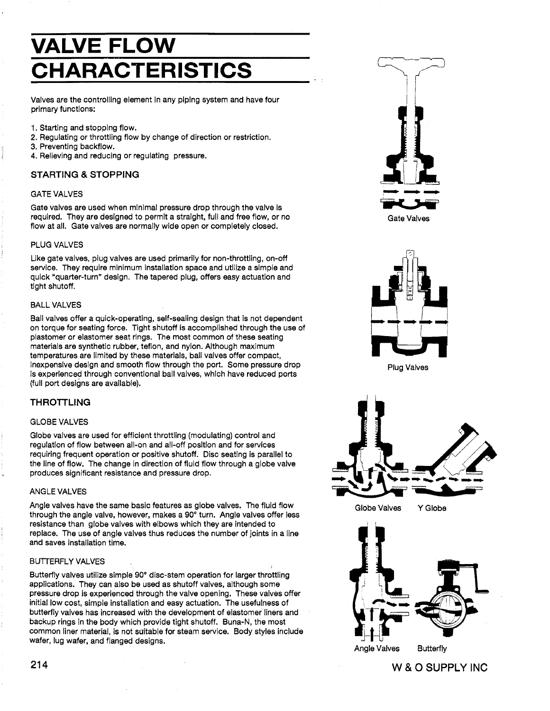## **VALVE FLOW CHARACTERISTICS**

Valves are the controlling element in any piping system and have four primary functions:

- 1. Starting and stopping flow.
- 2. Regulating or throttling flow by change of direction or restriction.
- 3. Preventing backflow.
- 4. Relieving and reducing or regulating pressure.

#### STARTING & STOPPING

#### GATE VALVES

Gate valves are used when minimal pressure drop through the valve Is required. They are designed to permit a straight, full and free flow, or no flow at all. Gate valves are normally wide open or completely closed.

#### PLUG VALVES

Like gate valves, plug valves are used primarily for non-throttling, on-off service. They require minimum installation space and utilize a simple and quick "quarter-turn" design. The tapered plug, offers easy actuation and tight shutoff.

#### BALL VALVES

Ball valves offer a quick-operating, self-sealing design that is not dependent on torque for seating force. Tight shutoff is accomplished through the use of plastomer or elastomer seat rings. The most common of these seating materials are synthetic rubber, teflon, and nylon. Although maximum temperatures are limited by these materials, ball valves offer compact, Inexpensive design and smooth flow through the port. Some pressure drop is experienced through conventional ball valves, which have reduced ports (full port designs are available).

#### THROTTLING

#### GLOBE VALVES

Globe valves are used for efficient throttling (modulating) control and regulation of flow between all-on and all-off position and for services requiring frequent operation or positive shutoff. Disc seating is parallel to the line of flow. The change in direction of fluid flow through a globe valve produces significant resistance and pressure drop.

#### ANGLE VALVES

Angle valves have the same basic features as globe valves. The fluid flow through the angle valve, however, makes a 90° turn. Angle valves offer less resistance than globe valves with elbows which they are intended to replace. The use of angle valves thus reduces the number of joints in a line and saves installation time.

#### BUTTERFLY VALVES

Butterfly valves utilize simple 90° disc-stem operation for larger throttling applications. They can also be used as shutoff valves, although some pressure drop is experienced through the valve opening. These valves offer initial low cost, simple installation and easy actuation. The usefulness of butterfly valves has increased with the development of elastomer liners and backup rings in the body which provide tight shutoff. Buna-N, the most common liner material, is not suitable for steam service. Body styles include wafer, lug wafer, and flanged designs.



Gate Valves



Plug Valves



Globe Valves YGiobe